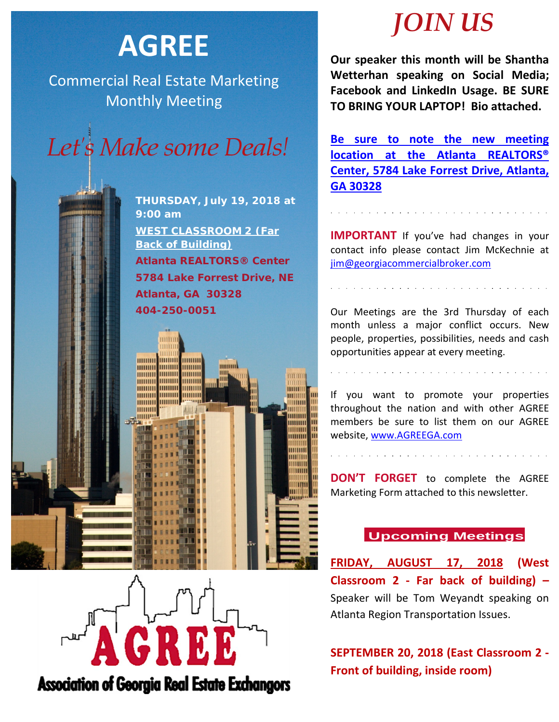# **AGREE**

Commercial Real Estate Marketing Monthly Meeting



**THURSDAY, July 19, 2018 at 9:00 am WEST CLASSROOM 2 (Far Back of Building) Atlanta REALTORS® Center 5784 Lake Forrest Drive, NE Atlanta, GA 30328 404-250-0051**

mmm

шшш

mmm

**MUHILI** 

mmm

THITITI

HHHHH

mmm

mmm **mmm Minimal Minima** 

mmm

**MANITE** 

munu

mmm

**MINIMI** 

mmm

mmm

mmm

шшп



**Association of Georgia Real Estate Exchangors** 

# *JOIN US*

**Our speaker this month will be Shantha Wetterhan speaking on Social Media; Facebook and LinkedIn Usage. BE SURE TO BRING YOUR LAPTOP! Bio attached.**

**Be sure to note the new meeting location at the Atlanta REALTORS® Center, 5784 Lake Forrest Drive, Atlanta, GA 30328**

**IMPORTANT** If you've had changes in your contact info please contact Jim McKechnie at [jim@georgiacommercialbroker.com](mailto:jim@georgiacommercialbroker.com?subject=Changes%20to%20My%20Account)

Our Meetings are the 3rd Thursday of each month unless a major conflict occurs. New people, properties, possibilities, needs and cash opportunities appear at every meeting.

designed to the contract of the contract of the contract of the contract of the contract of the contract of the

If you want to promote your properties throughout the nation and with other AGREE members be sure to list them on our AGREE website, www.AGREEGA.com

**DON'T FORGET** to complete the AGREE Marketing Form attached to this newsletter.

## **Upcoming Meetings**

**FRIDAY, AUGUST 17, 2018 (West Classroom 2 - Far back of building) –** Speaker will be Tom Weyandt speaking on Atlanta Region Transportation Issues.

**SEPTEMBER 20, 2018 (East Classroom 2 - Front of building, inside room)**